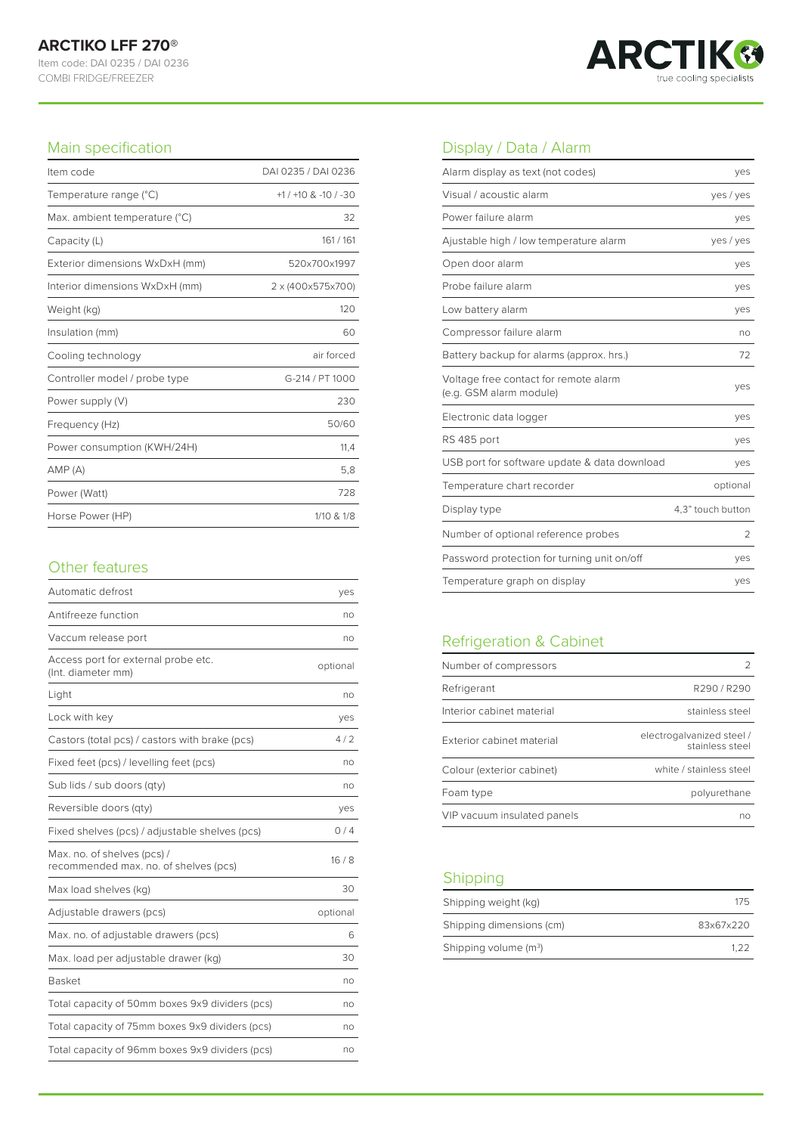

#### Main specification

| Item code                      | DAI 0235 / DAI 0236  |
|--------------------------------|----------------------|
| Temperature range (°C)         | $+1/10$ & $-10/1-30$ |
| Max. ambient temperature (°C)  | 32                   |
| Capacity (L)                   | 161/161              |
| Exterior dimensions WxDxH (mm) | 520x700x1997         |
| Interior dimensions WxDxH (mm) | 2 x (400x575x700)    |
| Weight (kg)                    | 120                  |
| Insulation (mm)                | 60                   |
| Cooling technology             | air forced           |
| Controller model / probe type  | G-214 / PT 1000      |
| Power supply (V)               | 230                  |
| Frequency (Hz)                 | 50/60                |
| Power consumption (KWH/24H)    | 11,4                 |
| AMP(A)                         | 5,8                  |
| Power (Watt)                   | 728                  |
| Horse Power (HP)               | 1/10 & 1/8           |

## Other features

| Automatic defrost                                                    | yes      |
|----------------------------------------------------------------------|----------|
| Antifreeze function                                                  | no       |
| Vaccum release port                                                  | no       |
| Access port for external probe etc.<br>(Int. diameter mm)            | optional |
| Light                                                                | no       |
| Lock with key                                                        | yes      |
| Castors (total pcs) / castors with brake (pcs)                       | 4/2      |
| Fixed feet (pcs) / levelling feet (pcs)                              | no       |
| Sub lids / sub doors (qty)                                           | no       |
| Reversible doors (qty)                                               | yes      |
| Fixed shelves (pcs) / adjustable shelves (pcs)                       | 0/4      |
| Max. no. of shelves (pcs) /<br>recommended max. no. of shelves (pcs) | 16/8     |
| Max load shelves (kg)                                                | 30       |
| Adjustable drawers (pcs)                                             | optional |
| Max. no. of adjustable drawers (pcs)                                 | 6        |
| Max. load per adjustable drawer (kg)                                 | 30       |
| <b>Basket</b>                                                        | no       |
| Total capacity of 50mm boxes 9x9 dividers (pcs)                      | no       |
| Total capacity of 75mm boxes 9x9 dividers (pcs)                      | no       |
| Total capacity of 96mm boxes 9x9 dividers (pcs)                      | no       |

# Display / Data / Alarm

| Alarm display as text (not codes)                                | yes               |
|------------------------------------------------------------------|-------------------|
| Visual / acoustic alarm                                          | yes / yes         |
| Power failure alarm                                              | yes               |
| Ajustable high / low temperature alarm                           | yes / yes         |
| Open door alarm                                                  | yes               |
| Probe failure alarm                                              | yes               |
| Low battery alarm                                                | yes               |
| Compressor failure alarm                                         | no                |
| Battery backup for alarms (approx. hrs.)                         | 72                |
| Voltage free contact for remote alarm<br>(e.g. GSM alarm module) | yes               |
| Electronic data logger                                           | yes               |
| RS 485 port                                                      | yes               |
| USB port for software update & data download                     | yes               |
| Temperature chart recorder                                       | optional          |
| Display type                                                     | 4,3" touch button |
| Number of optional reference probes                              | 2                 |
| Password protection for turning unit on/off                      | yes               |
| Temperature graph on display                                     | yes               |

## Refrigeration & Cabinet

| Number of compressors       |                                              |
|-----------------------------|----------------------------------------------|
| Refrigerant                 | R290/R290                                    |
| Interior cabinet material   | stainless steel                              |
| Exterior cabinet material   | electrogalvanized steel /<br>stainless steel |
| Colour (exterior cabinet)   | white / stainless steel                      |
| Foam type                   | polyurethane                                 |
| VIP vacuum insulated panels | nn                                           |

## Shipping

| Shipping weight (kg)              | 175       |
|-----------------------------------|-----------|
| Shipping dimensions (cm)          | 83x67x220 |
| Shipping volume (m <sup>3</sup> ) | 1 2 2     |